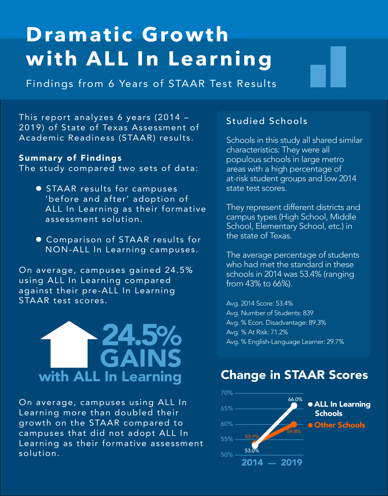# **Dramatic Growth with ALL In Learning**

Findings from 6 Years of STAAR Test Results

This report analyzes 6 years (2014 -2019) of State of Texas Assessment of Academic Readiness (STAAR) results.

#### Summary of Findings

The study compared two sets of data:

- **STAAR results for campuses** 'before and after' adoption of ALL In Learning as their formative assessment solution.
- Comparison of STAAR results for NON-ALL In Learning campuses.

On average, campuses gained 24.5% using ALL In Learning compared against their pre-ALL In Learning STAAR test scores.



On average, campuses using ALL In Learning more than doubled their growth on the STAAR compared to campuses that did not adopt ALL In Learning as their formative assessment solution.

#### Studied Schools

Schools in this study all shared similar characteristics: They were all populous schools in large metro areas with a high percentage of at-risk student groups and low 2014 state test scores.

They represent different districts and campus types (High School, Middle School, Elementary School, etc.) in the state of Texas.

The average percentage of students who had met the standard in these schools in 2014 was 53.4% (ranging from 43% to 66%).

Avg. 2014 Score: 53.4% Avg. Number of Students: 839 Avg. % Econ. Disadvantage: 89.3% Avg. % At Risk: 71.2% Avg. % English-Language Learner: 29.7%

# Change in STAAR Scores

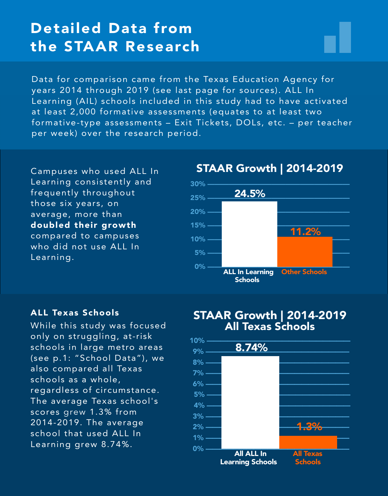$\mathcal{L}^{\text{max}}_{\text{max}}$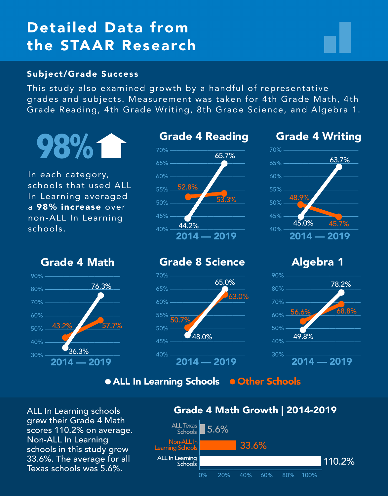# Detailed Data from the STAAR Research

#### Subject/Grade Success

This study also examined growth by a handful of representative grades and subjects. Measurement was taken for 4th Grade Math, 4th Grade Reading, 4th Grade Writing, 8th Grade Science, and Algebra 1.



In each category, schools that used ALL In Learning averaged a 98% increase over non-ALL In Learning schools.



#### Grade 4 Writing



Grade 4 Math



## Grade 8 Science



## Algebra 1



• ALL In Learning Schools • Other Schools

ALL In Learning schools grew their Grade 4 Math scores 110.2% on average. Non-ALL In Learning schools in this study grew 33.6%. The average for all Texas schools was 5.6%.

## Grade 4 Math Growth | 2014-2019